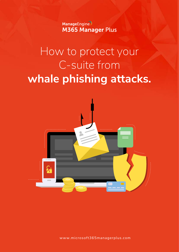ManageEngine **M365 Manager Plus** 

# How to protect your C-suite from **whale phishing attacks.**



www.microsoft[365managerplus.com](https://www.manageengine.com/microsoft-365-management-reporting/index.html?utm_source=pdf&utm_content=mmp-whaling-ebook)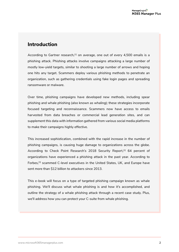# **Introduction**

According to Gartner research,<sup>[1]</sup> on average, one out of every 4,500 emails is a phishing attack. Phishing attacks involve campaigns attacking a large number of mostly low-yield targets, similar to shooting a large number of arrows and hoping one hits any target. Scammers deploy various phishing methods to penetrate an organization, such as gathering credentials using fake login pages and spreading ransomware or malware.

Over time, phishing campaigns have developed new methods, including spear phishing and whale phishing (also known as whaling); these strategies incorporate focused targeting and reconnaissance. Scammers now have access to emails harvested from data breaches or commercial lead generation sites, and can supplement this data with information gathered from various social media platforms to make their campaigns highly effective.

This increased sophistication, combined with the rapid increase in the number of phishing campaigns, is causing huge damage to organizations across the globe. According to Check Point Research's 2018 Security Report,<sup>[2]</sup> 64 percent of organizations have experienced a phishing attack in the past year. According to Forbes,[3] scammed C-level executives in the United States, UK, and Europe have sent more than \$12 billion to attackers since 2013.

This e-book will focus on a type of targeted phishing campaign known as whale phishing. We'll discuss what whale phishing is and how it's accomplished, and outline the strategy of a whale phishing attack through a recent case study. Plus, we'll address how you can protect your C-suite from whale phishing.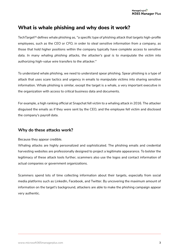# **What is whale phishing and why does it work?**

TechTarget<sup>[4]</sup> defines whale phishing as, "a specific type of phishing attack that targets high-profile *employees, such as the CEO or CFO, in order to steal sensitive information from a company, as those that hold higher positions within the company typically have complete access to sensitive data. In many whaling phishing attacks, the attacker's goal is to manipulate the victim into authorizing high-value wire transfers to the attacker."*

To understand whale phishing, we need to understand spear phishing. Spear phishing is a type of attack that uses scare tactics and urgency in emails to manipulate victims into sharing sensitive information. Whale phishing is similar, except the target is a whale, a very important executive in the organization with access to critical business data and documents.

For example, a high ranking official at Snapchat fell victim to a whaling attack in 2016. The attacker disguised the emails as if they were sent by the CEO, and the employee fell victim and disclosed the company's payroll data.

## **Why do these attacks work?**

Because they appear credible.

Whaling attacks are highly personalized and sophisticated. The phishing emails and credential harvesting websites are professionally designed to project a legitimate appearance. To bolster the legitimacy of these attack tools further, scammers also use the logos and contact information of actual companies or government organizations.

Scammers spend lots of time collecting information about their targets, especially from social media platforms such as LinkedIn, Facebook, and Twitter. By uncovering the maximum amount of information on the target's background, attackers are able to make the phishing campaign appear very authentic.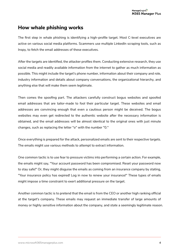# **How whale phishing works**

The first step in whale phishing is identifying a high-profile target. Most C-level executives are active on various social media platforms. Scammers use multiple LinkedIn scraping tools, such as Inspy, to fetch the email addresses of these executives.

After the targets are identified, the attacker profiles them. Conducting extensive research, they use social media and readily available information from the internet to gather as much information as possible. This might include the target's phone number, information about their company and role, industry information and details about company conversations, the organizational hierarchy, and anything else that will make them seem legitimate.

Then comes the spoofing part. The attackers carefully construct bogus websites and spoofed email addresses that are tailor-made to fool their particular target. These websites and email addresses are convincing enough that even a cautious person might be deceived. The bogus websites may even get redirected to the authentic website after the necessary information is obtained, and the email addresses will be almost identical to the original ones with just minute changes, such as replacing the letter "o" with the number "0."

Once everything is prepared for the attack, personalized emails are sent to their respective targets. The emails might use various methods to attempt to extract information.

One common tactic is to use fear to pressure victims into performing a certain action. For example, the emails might say, "Your account password has been compromised. Reset your password now to stay safe!" Or, they might disguise the emails as coming from an insurance company by stating, "Your insurance policy has expired! Log in now to renew your insurance!" These types of emails might impose a time constraint to exert additional pressure on the target.

Another common tactic is to pretend that the email is from the CEO or another high ranking official at the target's company. These emails may request an immediate transfer of large amounts of money or highly sensitive information about the company, and state a seemingly legitimate reason.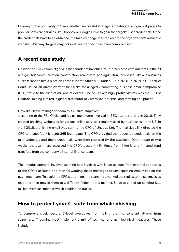Leveraging the popularity of SaaS, another successful strategy is creating fake login webpages to popular software services like Dropbox or Google Drive to gain the target's user credentials. Once the credentials have been obtained, the fake webpage may redirect to the organization's authentic website. This way, targets may not even realize they have been compromised.

# **A recent case study**

Obinwanne Okeke from Nigeria is the founder of Invictus Group, a business with interests in the oil and gas, telecommunication, construction, real estate, and agriculture industries. Okeke's business success landed him a place on Forbes' list of "Africa's 30 under 30" in 2016. In 2019, a US District Court issued an arrest warrant for Okeke for allegedly committing business email compromise (BEC) fraud to the tune of millions of dollars. One of Okeke's high-profile victims was the CFO of Unatrac Holding Limited, a global distributor of Caterpillar industrial and farming equipment.

#### How did Okeke manage to scam this C-suite employee?

According to the FBI, Okeke and his partners were involved in BEC scams starting in 2016. They created phishing webpages for various online services regularly used by businesses in the US. In April 2018, a phishing email was sent to the CFO of Unatrac Ltd. The malicious link directed the CFO to a spoofed Microsoft 365 login page. The CFO provided the requested credentials on the fake webpage, and those credentials were then captured by the attackers. Over a span of two weeks, the scammers accessed the CFO's account 464 times from Nigeria and initiated fund transfers from the company's internal finance team.

Their modus operandi involved sending fake invoices with Unatrac logos from external addresses to the CFO's account, and then forwarding those messages to unsuspecting employees on the payments team. To avoid the CFO's attention, the scammers marked the replies to these emails as read and then moved them to a different folder. In this manner, Unatrac ended up sending \$11 million overseas, most of which couldn't be traced.

# **How to protect your C-suite from whale phishing**

To comprehensively secure C-level executives from falling prey to constant attacks from scammers, IT admins must implement a mix of technical and non-technical measures. These include: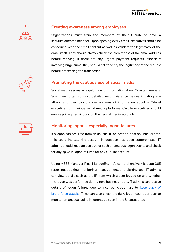

### **Creating awareness among employees.**

Organizations must train the members of their C-suite to have a security-oriented mindset. Upon opening every email, executives should be concerned with the email content as well as validate the legitimacy of the email itself. They should always check the correctness of the email address before replying. If there are any urgent payment requests, especially involving huge sums, they should call to verify the legitimacy of the request before processing the transaction.

# **Promoting the cautious use of social media.**

Social media serves as a goldmine for information about C-suite members. Scammers often conduct detailed reconnaissance before initiating any attack, and they can uncover volumes of information about a C-level executive from various social media platforms. C-suite executives should enable privacy restrictions on their social media accounts.



## **Monitoring logons, especially logon failures.**

If a logon has occurred from an unusual IP or location, or at an unusual time, this could indicate the account in question has been compromised. IT admins should keep an eye out for such anomalous logon events and check for any spike in logon failures for any C-suite account.

Using M365 Manager Plus, ManageEngine's comprehensive Microsoft 365 reporting, auditing, monitoring, management, and alerting tool, IT admins can view details such as the IP from which a user logged on and whether the logon was performed during non-business hours. IT admins can receive details of logon failures due to incorrect credentials to keep track of [brute-force attacks.](https://www.manageengine.com/microsoft-365-management-reporting/kb/microsoft-365-user-logon-reports-tips-and-tricks.html?utm_source=pdf&utm_content=mmp-whaling-ebook) They can also check the daily logon count per user to monitor an unusual spike in logons, as seen in the Unatrac attack.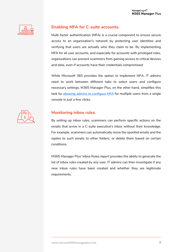

## **Enabling MFA for C-suite accounts.**

Multi-factor authentication (MFA) is a crucial component to ensure secure access to an organization's network by protecting user identities and verifying that users are actually who they claim to be. By implementing MFA for all user accounts, and especially for accounts with privileged roles, organizations can prevent scammers from gaining access to critical devices and data, even if accounts have their credentials compromised.

While Microsoft 365 provides the option to implement MFA, IT admins need to work between different tabs to select users and configure necessary settings. M365 Manager Plus, on the other hand, simplifies this task by [allowing admins to configure MFA](https://www.manageengine.com/microsoft-365-management-reporting/setup-multi-factor-authentication-for-microsoft-365-users.html?utm_source=pdf&utm_content=mmp-whaling-ebook) for multiple users from a single console in just a few clicks.



## **Monitoring inbox rules.**

By setting up inbox rules, scammers can perform specific actions on the emails that arrive in a C-suite executive's inbox without their knowledge. For example, scammers can automatically move the spoofed emails and the replies to such emails to other folders, or delete them based on certain conditions.

M365 Manager Plus' Inbox Rules report provides the ability to generate the list of inbox rules created by any user. IT admins can then investigate if any new inbox rules have been created and whether they are legitimate requirements.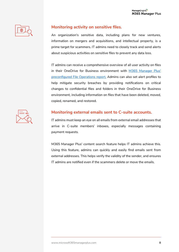

# **Monitoring activity on sensitive files.**

An organization's sensitive data, including plans for new ventures, information on mergers and acquisitions, and intellectual property, is a prime target for scammers. IT admins need to closely track and send alerts about suspicious activities on sensitive files to prevent any data loss.

IT admins can receive a comprehensive overview of all user activity on files in their OneDrive for Business environment with [M365 Manager Plus'](https://www.manageengine.com/microsoft-365-management-reporting/onedrive-for-business-file-auditing-reporting.html?utm_source=pdf&utm_content=mmp-whaling-ebook)  preconfigur[ed File Operations report.](https://www.manageengine.com/microsoft-365-management-reporting/onedrive-for-business-file-auditing-reporting.html?utm_source=pdf&utm_content=mmp-whaling-ebook) Admins can also set alert profiles to help mitigate security breaches by providing notifications on critical changes to confidential files and folders in their OneDrive for Business environment, including information on files that have been deleted, moved, copied, renamed, and restored.



# **Monitoring external emails sent to C-suite accounts.**

IT admins must keep an eye on all emails from external email addresses that arrive in C-suite members' inboxes, especially messages containing payment requests.

M365 Manager Plus' content search feature helps IT admins achieve this. Using this feature, admins can quickly and easily find emails sent from external addresses. This helps verify the validity of the sender, and ensures IT admins are notified even if the scammers delete or move the emails.